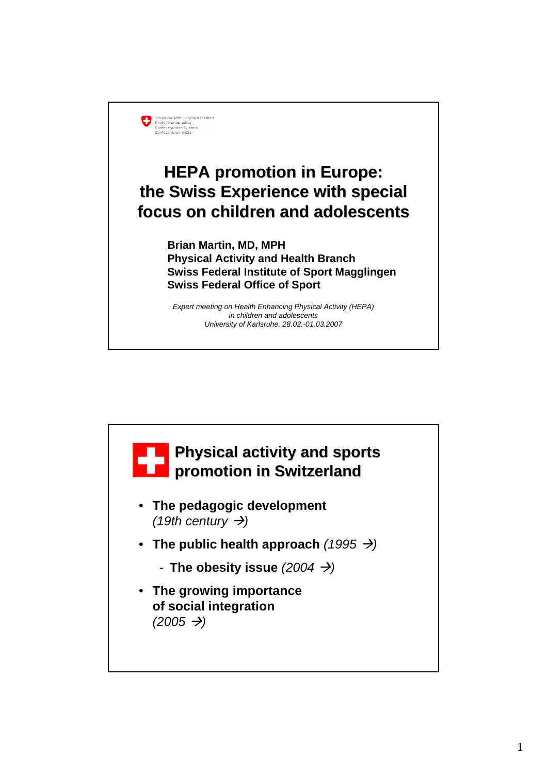

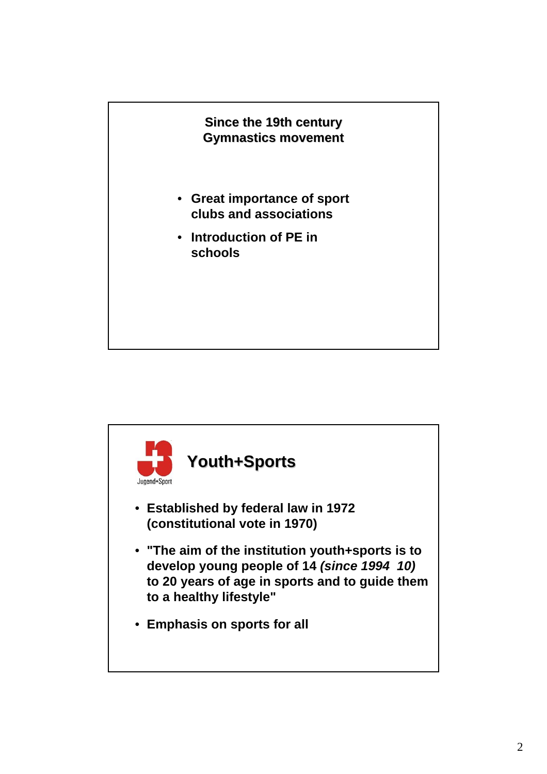

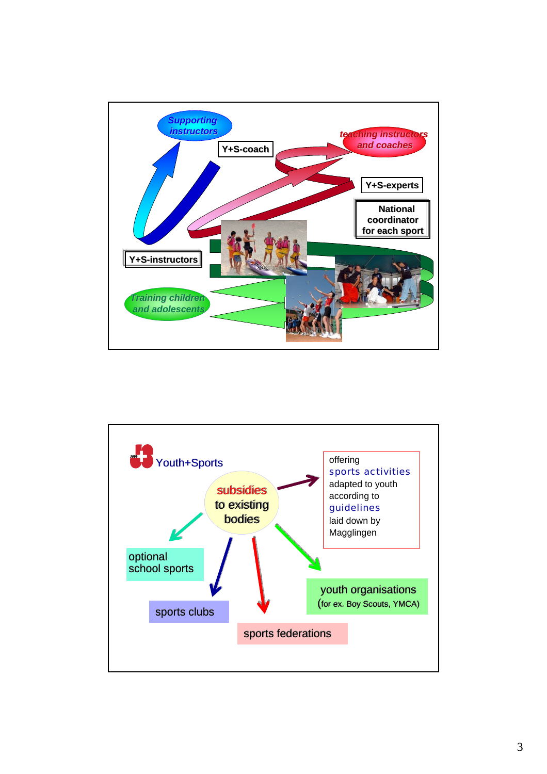

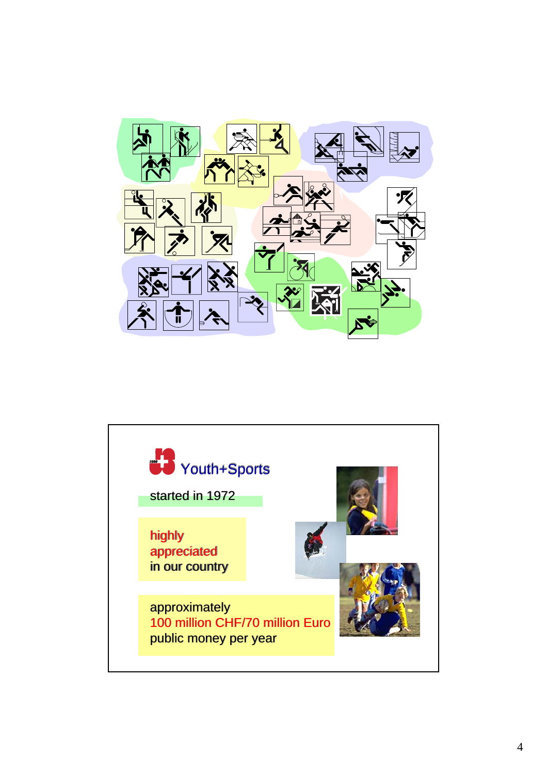

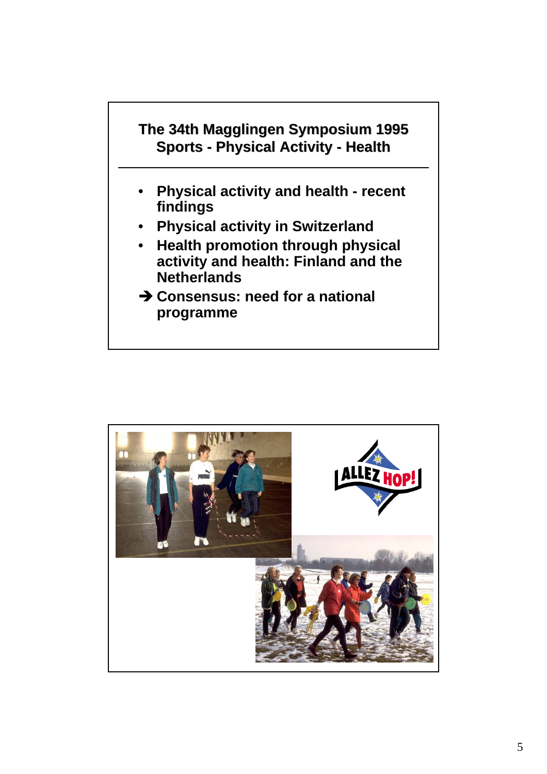

- **findings**
- **Physical activity in Switzerland**
- **Health promotion through physical activity and health: Finland and the Netherlands**
- **→ Consensus: need for a national programme**

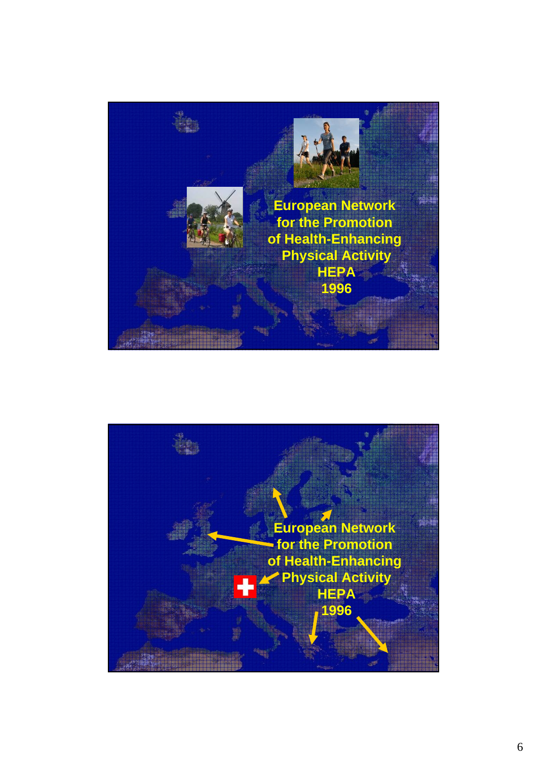

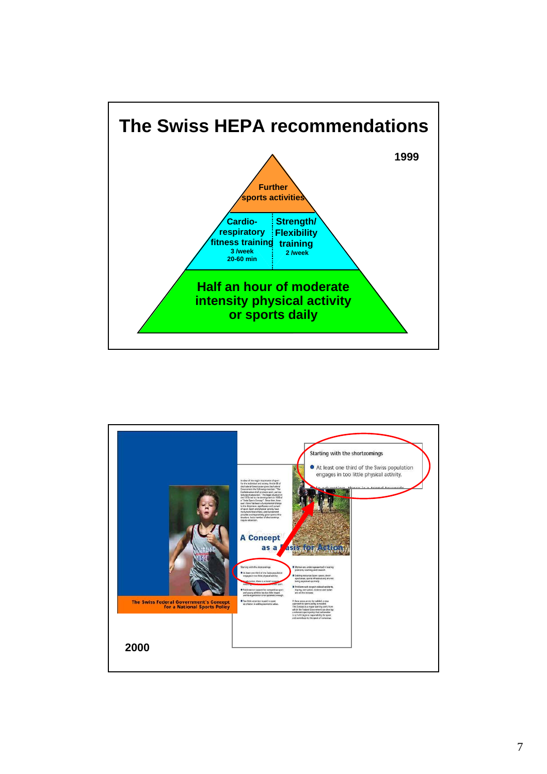

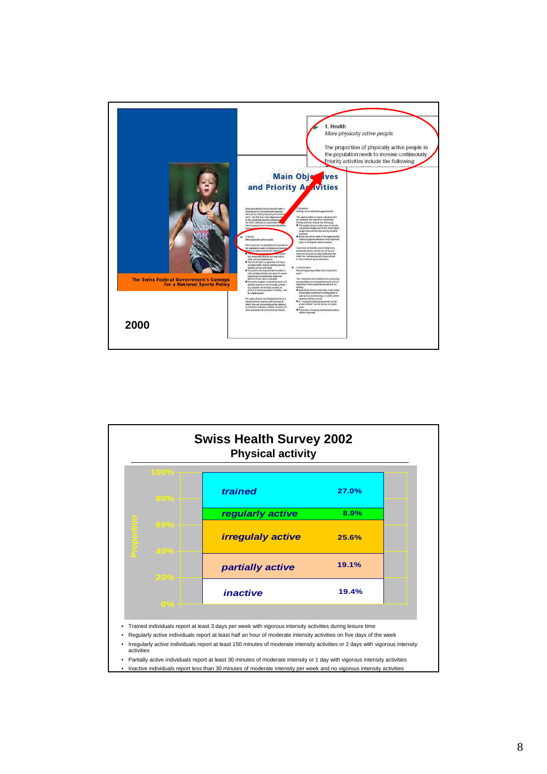

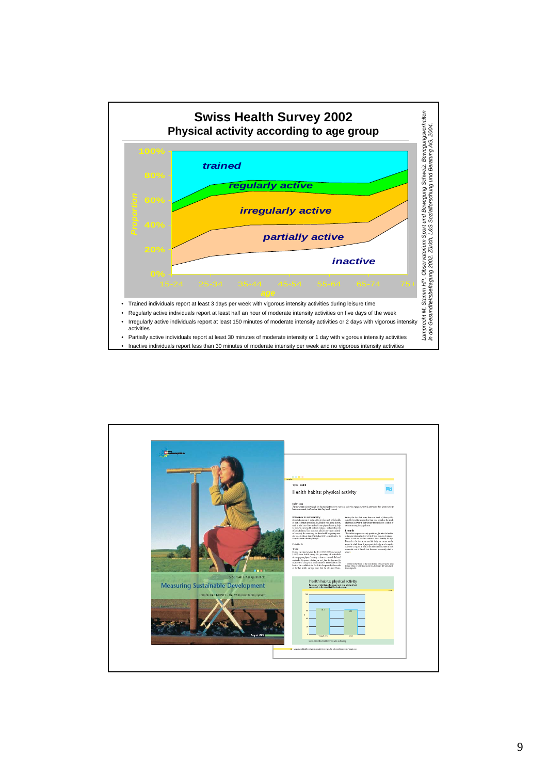

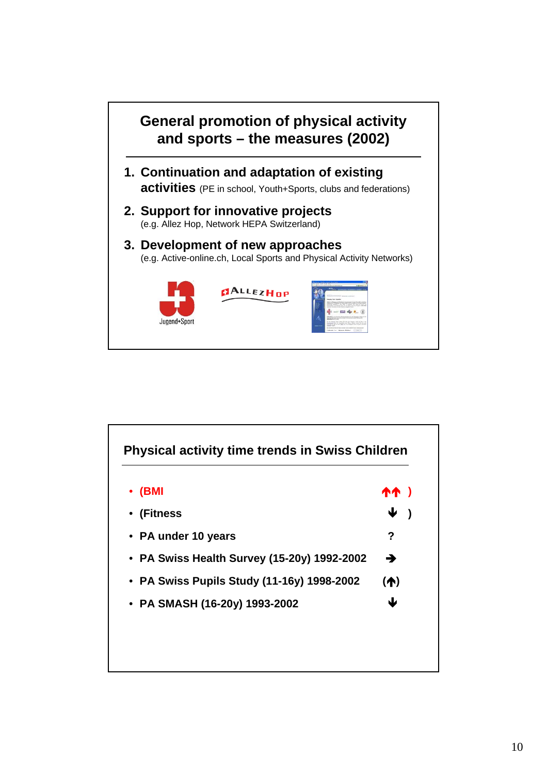

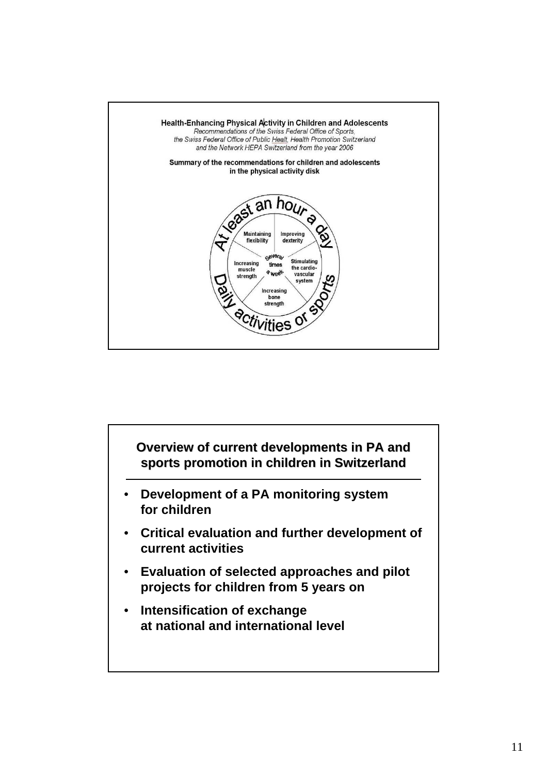

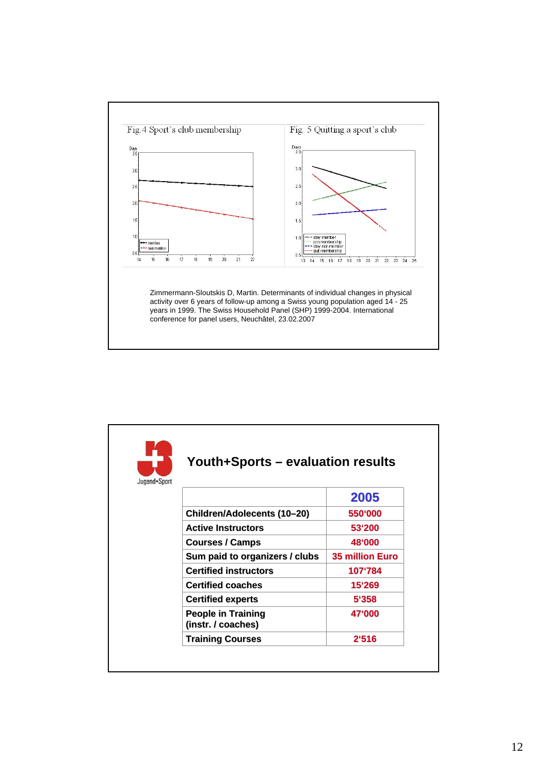

| Youth+Sports – evaluation results               |                        |
|-------------------------------------------------|------------------------|
|                                                 | 2005                   |
| Children/Adolecents (10-20)                     | 550'000                |
| <b>Active Instructors</b>                       | 53'200                 |
| <b>Courses / Camps</b>                          | 48'000                 |
| Sum paid to organizers / clubs                  | <b>35 million Euro</b> |
| <b>Certified instructors</b>                    | 107'784                |
| <b>Certified coaches</b>                        | 15'269                 |
| <b>Certified experts</b>                        | 5'358                  |
| <b>People in Training</b><br>(instr. / coaches) | 47'000                 |
| <b>Training Courses</b>                         | 2'516                  |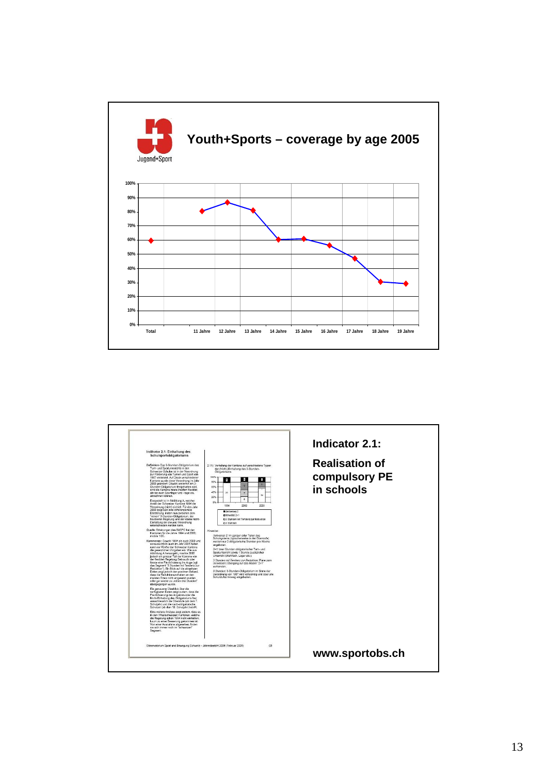

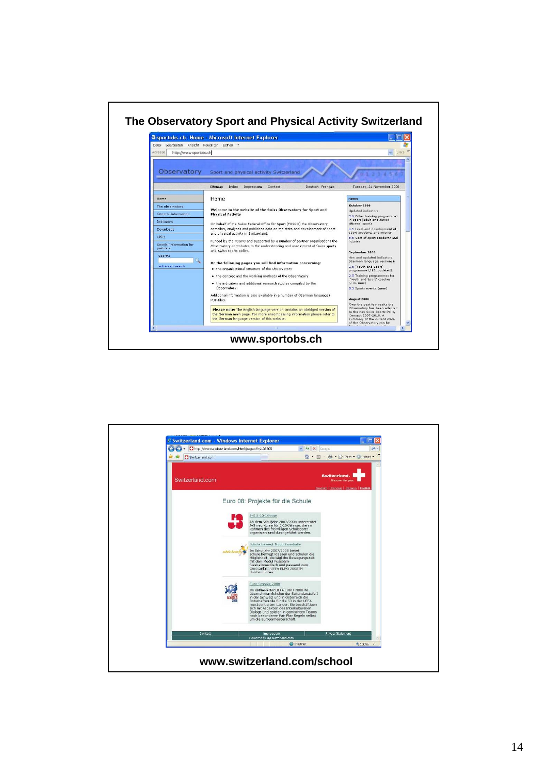

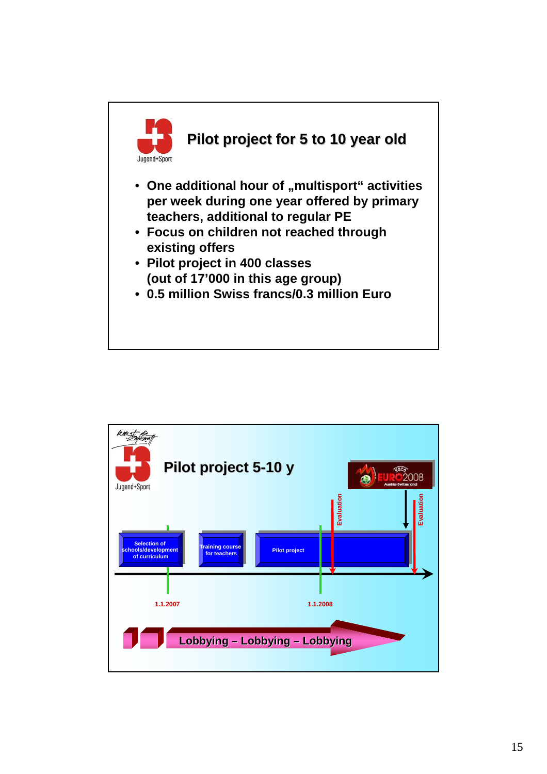